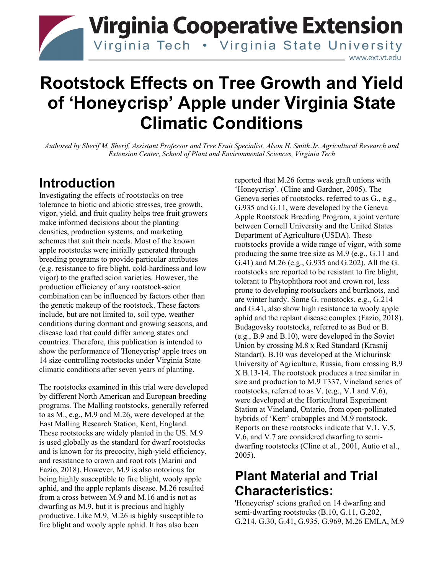

# **Rootstock Effects on Tree Growth and Yield of 'Honeycrisp' Apple under Virginia State Climatic Conditions**

*Authored by Sherif M. Sherif, Assistant Professor and Tree Fruit Specialist, Alson H. Smith Jr. Agricultural Research and Extension Center, School of Plant and Environmental Sciences, Virginia Tech*

#### **Introduction**

Investigating the effects of rootstocks on tree tolerance to biotic and abiotic stresses, tree growth, vigor, yield, and fruit quality helps tree fruit growers make informed decisions about the planting densities, production systems, and marketing schemes that suit their needs. Most of the known apple rootstocks were initially generated through breeding programs to provide particular attributes (e.g. resistance to fire blight, cold-hardiness and low vigor) to the grafted scion varieties. However, the production efficiency of any rootstock-scion combination can be influenced by factors other than the genetic makeup of the rootstock. These factors include, but are not limited to, soil type, weather conditions during dormant and growing seasons, and disease load that could differ among states and countries. Therefore, this publication is intended to show the performance of 'Honeycrisp' apple trees on 14 size-controlling rootstocks under Virginia State climatic conditions after seven years of planting.

The rootstocks examined in this trial were developed by different North American and European breeding programs. The Malling rootstocks, generally referred to as M., e.g., M.9 and M.26, were developed at the East Malling Research Station, Kent, England. These rootstocks are widely planted in the US. M.9 is used globally as the standard for dwarf rootstocks and is known for its precocity, high-yield efficiency, and resistance to crown and root rots (Marini and Fazio, 2018). However, M.9 is also notorious for being highly susceptible to fire blight, wooly apple aphid, and the apple replants disease. M.26 resulted from a cross between M.9 and M.16 and is not as dwarfing as M.9, but it is precious and highly productive. Like M.9, M.26 is highly susceptible to fire blight and wooly apple aphid. It has also been

reported that M.26 forms weak graft unions with 'Honeycrisp'. (Cline and Gardner, 2005). The Geneva series of rootstocks, referred to as G., e.g., G.935 and G.11, were developed by the Geneva Apple Rootstock Breeding Program, a joint venture between Cornell University and the United States Department of Agriculture (USDA). These rootstocks provide a wide range of vigor, with some producing the same tree size as M.9 (e.g., G.11 and G.41) and M.26 (e.g., G.935 and G.202). All the G. rootstocks are reported to be resistant to fire blight, tolerant to Phytophthora root and crown rot, less prone to developing rootsuckers and burrknots, and are winter hardy. Some G. rootstocks, e.g., G.214 and G.41, also show high resistance to wooly apple aphid and the replant disease complex (Fazio, 2018). Budagovsky rootstocks, referred to as Bud or B. (e.g., B.9 and B.10), were developed in the Soviet Union by crossing M.8 x Red Standard (Krasnij Standart). B.10 was developed at the Michurinsk University of Agriculture, Russia, from crossing B.9 X B.13-14. The rootstock produces a tree similar in size and production to M.9 T337. Vineland series of rootstocks, referred to as V. (e.g., V.1 and V.6), were developed at the Horticultural Experiment Station at Vineland, Ontario, from open-pollinated hybrids of 'Kerr' crabapples and M.9 rootstock. Reports on these rootstocks indicate that V.1, V.5, V.6, and V.7 are considered dwarfing to semidwarfing rootstocks (Cline et al., 2001, Autio et al., 2005).

## **Plant Material and Trial Characteristics:**

'Honeycrisp' scions grafted on 14 dwarfing and semi-dwarfing rootstocks (B.10, G.11, G.202, G.214, G.30, G.41, G.935, G.969, M.26 EMLA, M.9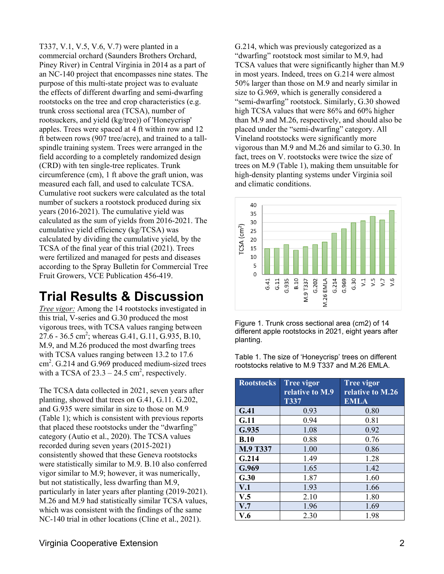T337, V.1, V.5, V.6, V.7) were planted in a commercial orchard (Saunders Brothers Orchard, Piney River) in Central Virginia in 2014 as a part of an NC-140 project that encompasses nine states. The purpose of this multi-state project was to evaluate the effects of different dwarfing and semi-dwarfing rootstocks on the tree and crop characteristics (e.g. trunk cross sectional area (TCSA), number of rootsuckers, and yield (kg/tree)) of 'Honeycrisp' apples. Trees were spaced at 4 ft within row and 12 ft between rows (907 tree/acre), and trained to a tallspindle training system. Trees were arranged in the field according to a completely randomized design (CRD) with ten single-tree replicates. Trunk circumference (cm), 1 ft above the graft union, was measured each fall, and used to calculate TCSA. Cumulative root suckers were calculated as the total number of suckers a rootstock produced during six years (2016-2021). The cumulative yield was calculated as the sum of yields from 2016-2021. The cumulative yield efficiency (kg/TCSA) was calculated by dividing the cumulative yield, by the TCSA of the final year of this trial (2021). Trees were fertilized and managed for pests and diseases according to the Spray Bulletin for Commercial Tree Fruit Growers, VCE Publication 456-419.

## **Trial Results & Discussion**

*Tree vigor:* Among the 14 rootstocks investigated in this trial, V-series and G.30 produced the most vigorous trees, with TCSA values ranging between 27.6 - 36.5 cm<sup>2</sup>; whereas G.41, G.11, G.935, B.10, M.9, and M.26 produced the most dwarfing trees with TCSA values ranging between 13.2 to 17.6 cm<sup>2</sup>. G.214 and G.969 produced medium-sized trees with a TCSA of  $23.3 - 24.5$  cm<sup>2</sup>, respectively.

The TCSA data collected in 2021, seven years after planting, showed that trees on G.41, G.11. G.202, and G.935 were similar in size to those on M.9 (Table 1); which is consistent with previous reports that placed these rootstocks under the "dwarfing" category (Autio et al., 2020). The TCSA values recorded during seven years (2015-2021) consistently showed that these Geneva rootstocks were statistically similar to M.9. B.10 also conferred vigor similar to M.9; however, it was numerically, but not statistically, less dwarfing than M.9, particularly in later years after planting (2019-2021). M.26 and M.9 had statistically similar TCSA values, which was consistent with the findings of the same NC-140 trial in other locations (Cline et al., 2021).

G.214, which was previously categorized as a "dwarfing" rootstock most similar to M.9, had TCSA values that were significantly higher than M.9 in most years. Indeed, trees on G.214 were almost 50% larger than those on M.9 and nearly similar in size to G.969, which is generally considered a "semi-dwarfing" rootstock. Similarly, G.30 showed high TCSA values that were 86% and 60% higher than M.9 and M.26, respectively, and should also be placed under the "semi-dwarfing" category. All Vineland rootstocks were significantly more vigorous than M.9 and M.26 and similar to G.30. In fact, trees on V. rootstocks were twice the size of trees on M.9 (Table 1), making them unsuitable for high-density planting systems under Virginia soil and climatic conditions.



Figure 1. Trunk cross sectional area (cm2) of 14 different apple rootstocks in 2021, eight years after planting.

Table 1. The size of 'Honeycrisp' trees on different rootstocks relative to M.9 T337 and M.26 EMLA.

| <b>Rootstocks</b> | <b>Tree vigor</b> | <b>Tree vigor</b> |
|-------------------|-------------------|-------------------|
|                   | relative to M.9   | relative to M.26  |
|                   | <b>T337</b>       | <b>EMLA</b>       |
| G.41              | 0.93              | 0.80              |
| G.11              | 0.94              | 0.81              |
| G.935             | 1.08              | 0.92              |
| B.10              | 0.88              | 0.76              |
| M.9 T337          | 1.00              | 0.86              |
| G.214             | 1.49              | 1.28              |
| G.969             | 1.65              | 1.42              |
| G.30              | 1.87              | 1.60              |
| V.1               | 1.93              | 1.66              |
| V.5               | 2.10              | 1.80              |
| V.7               | 1.96              | 1.69              |
| V.6               | 2.30              | 1.98              |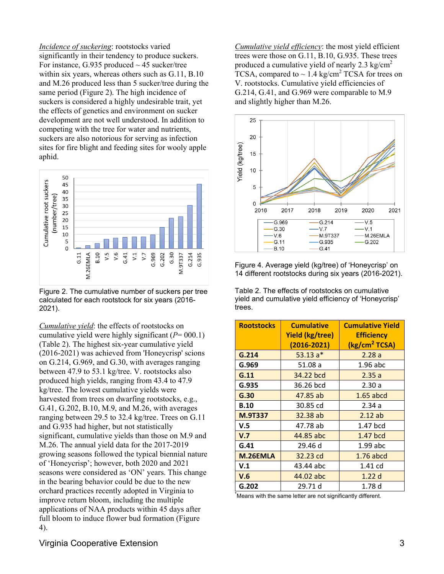*Incidence of suckering*: rootstocks varied significantly in their tendency to produce suckers. For instance, G.935 produced  $\sim$  45 sucker/tree within six years, whereas others such as G.11, B.10 and M.26 produced less than 5 sucker/tree during the same period (Figure 2). The high incidence of suckers is considered a highly undesirable trait, yet the effects of genetics and environment on sucker development are not well understood. In addition to competing with the tree for water and nutrients, suckers are also notorious for serving as infection sites for fire blight and feeding sites for wooly apple aphid.



Figure 2. The cumulative number of suckers per tree calculated for each rootstock for six years (2016- 2021).

*Cumulative yield*: the effects of rootstocks on cumulative yield were highly significant (*P*= 000.1) (Table 2). The highest six-year cumulative yield (2016-2021) was achieved from 'Honeycrisp' scions on G.214, G.969, and G.30, with averages ranging between 47.9 to 53.1 kg/tree. V. rootstocks also produced high yields, ranging from 43.4 to 47.9 kg/tree. The lowest cumulative yields were harvested from trees on dwarfing rootstocks, e.g., G.41, G.202, B.10, M.9, and M.26, with averages ranging between 29.5 to 32.4 kg/tree. Trees on G.11 and G.935 had higher, but not statistically significant, cumulative yields than those on M.9 and M.26. The annual yield data for the 2017-2019 growing seasons followed the typical biennial nature of 'Honeycrisp'; however, both 2020 and 2021 seasons were considered as 'ON' years. This change in the bearing behavior could be due to the new orchard practices recently adopted in Virginia to improve return bloom, including the multiple applications of NAA products within 45 days after full bloom to induce flower bud formation (Figure 4).

*Cumulative yield efficiency*: the most yield efficient trees were those on G.11, B.10, G.935. These trees produced a cumulative vield of nearly 2.3 kg/cm<sup>2</sup> TCSA, compared to  $\sim$  1.4 kg/cm<sup>2</sup> TCSA for trees on V. rootstocks. Cumulative yield efficiencies of G.214, G.41, and G.969 were comparable to M.9 and slightly higher than M.26.



Figure 4. Average yield (kg/tree) of 'Honeycrisp' on 14 different rootstocks during six years (2016-2021).

Table 2. The effects of rootstocks on cumulative yield and cumulative yield efficiency of 'Honeycrisp' trees.

| <b>Rootstocks</b> | <b>Cumulative</b>                         | <b>Cumulative Yield</b>                        |
|-------------------|-------------------------------------------|------------------------------------------------|
|                   | <b>Yield (kg/tree)</b><br>$(2016 - 2021)$ | <b>Efficiency</b><br>(kg/cm <sup>2</sup> TCSA) |
|                   |                                           |                                                |
| G.214             | $53.13a*$                                 | 2.28a                                          |
| G.969             | 51.08 a                                   | $1.96$ abc                                     |
| G.11              | 34.22 bcd                                 | 2.35a                                          |
| G.935             | 36.26 bcd                                 | 2.30a                                          |
| G.30              | 47.85 ab                                  | $1.65$ abcd                                    |
| <b>B.10</b>       | 30.85 cd                                  | 2.34a                                          |
| <b>M.9T337</b>    | 32.38 ab                                  | 2.12ab                                         |
| V.5               | 47.78 ab                                  | 1.47 bcd                                       |
| V.7               | 44.85 abc                                 | 1.47 bcd                                       |
| G.41              | 29.46 d                                   | 1.99 abc                                       |
| M.26EMLA          | 32.23 cd                                  | $1.76$ abcd                                    |
| V.1               | 43.44 abc                                 | 1.41 cd                                        |
| V.6               | 44.02 abc                                 | 1.22d                                          |
| G.202             | 29.71 d                                   | 1.78 d                                         |

\* Means with the same letter are not significantly different.